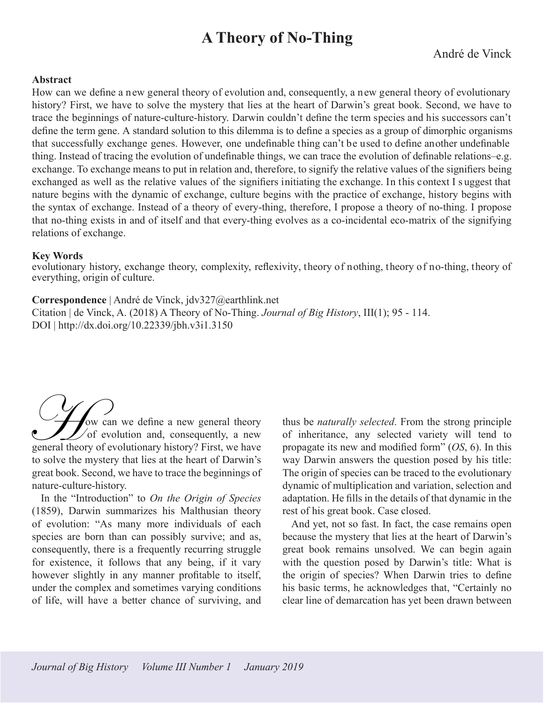# **A Theory of No-Thing**

## **Abstract**

How can we define a new general theory of evolution and, consequently, a new general theory of evolutionary history? First, we have to solve the mystery that lies at the heart of Darwin's great book. Second, we have to trace the beginnings of nature-culture-history. Darwin couldn't define the term species and his successors can't define the term gene. A standard solution to this dilemma is to define a species as a group of dimorphic organisms that successfully exchange genes. However, one undefinable thing can't be used to define another undefinable thing. Instead of tracing the evolution of undefinable things, we can trace the evolution of definable relations–e.g. exchange. To exchange means to put in relation and, therefore, to signify the relative values of the signifiers being exchanged as well as the relative values of the signifiers initiating the exchange. In this context I s uggest that nature begins with the dynamic of exchange, culture begins with the practice of exchange, history begins with the syntax of exchange. Instead of a theory of every-thing, therefore, I propose a theory of no-thing. I propose that no-thing exists in and of itself and that every-thing evolves as a co-incidental eco-matrix of the signifying relations of exchange.

### **Key Words**

evolutionary history, exchange theory, complexity, reflexivity, theory of nothing, theory of no-thing, theory of everything, origin of culture.

## **Correspondence** | André de Vinck, jdv327@earthlink.net

Citation | de Vinck, A. (2018) A Theory of No-Thing. *Journal of Big History*, III(1); 95 - 114. DOI | http://dx.doi.org/10.22339/jbh.v3i1.3150

ow can we define a new general theory  $\sqrt{\ }$  of evolution and, consequently, a new We can we define a new general theory<br>of evolution and, consequently, a new<br>general theory of evolutionary history? First, we have to solve the mystery that lies at the heart of Darwin's great book. Second, we have to trace the beginnings of nature-culture-history.

In the "Introduction" to *On the Origin of Species*  (1859), Darwin summarizes his Malthusian theory of evolution: "As many more individuals of each species are born than can possibly survive; and as, consequently, there is a frequently recurring struggle for existence, it follows that any being, if it vary however slightly in any manner profitable to itself, under the complex and sometimes varying conditions of life, will have a better chance of surviving, and thus be *naturally selected*. From the strong principle of inheritance, any selected variety will tend to propagate its new and modified form" (*OS*, 6). In this way Darwin answers the question posed by his title: The origin of species can be traced to the evolutionary dynamic of multiplication and variation, selection and adaptation. He fills in the details of that dynamic in the rest of his great book. Case closed.

And yet, not so fast. In fact, the case remains open because the mystery that lies at the heart of Darwin's great book remains unsolved. We can begin again with the question posed by Darwin's title: What is the origin of species? When Darwin tries to define his basic terms, he acknowledges that, "Certainly no clear line of demarcation has yet been drawn between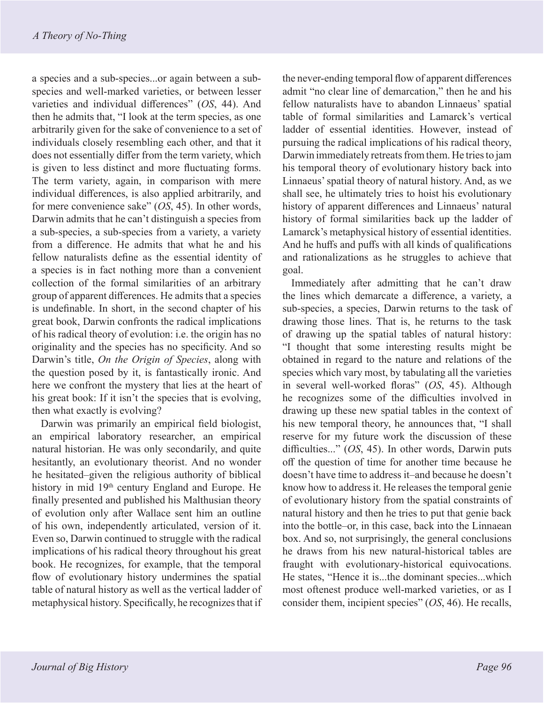a species and a sub-species...or again between a subspecies and well-marked varieties, or between lesser varieties and individual differences" (*OS*, 44). And then he admits that, "I look at the term species, as one arbitrarily given for the sake of convenience to a set of individuals closely resembling each other, and that it does not essentially differ from the term variety, which is given to less distinct and more fluctuating forms. The term variety, again, in comparison with mere individual differences, is also applied arbitrarily, and for mere convenience sake" (*OS*, 45). In other words, Darwin admits that he can't distinguish a species from a sub-species, a sub-species from a variety, a variety from a difference. He admits that what he and his fellow naturalists define as the essential identity of a species is in fact nothing more than a convenient collection of the formal similarities of an arbitrary group of apparent differences. He admits that a species is undefinable. In short, in the second chapter of his great book, Darwin confronts the radical implications of his radical theory of evolution: i.e. the origin has no originality and the species has no specificity. And so Darwin's title, *On the Origin of Species*, along with the question posed by it, is fantastically ironic. And here we confront the mystery that lies at the heart of his great book: If it isn't the species that is evolving, then what exactly is evolving?

Darwin was primarily an empirical field biologist, an empirical laboratory researcher, an empirical natural historian. He was only secondarily, and quite hesitantly, an evolutionary theorist. And no wonder he hesitated–given the religious authority of biblical history in mid 19<sup>th</sup> century England and Europe. He finally presented and published his Malthusian theory of evolution only after Wallace sent him an outline of his own, independently articulated, version of it. Even so, Darwin continued to struggle with the radical implications of his radical theory throughout his great book. He recognizes, for example, that the temporal flow of evolutionary history undermines the spatial table of natural history as well as the vertical ladder of metaphysical history. Specifically, he recognizes that if

the never-ending temporal flow of apparent differences admit "no clear line of demarcation," then he and his fellow naturalists have to abandon Linnaeus' spatial table of formal similarities and Lamarck's vertical ladder of essential identities. However, instead of pursuing the radical implications of his radical theory, Darwin immediately retreats from them. He tries to jam his temporal theory of evolutionary history back into Linnaeus' spatial theory of natural history. And, as we shall see, he ultimately tries to hoist his evolutionary history of apparent differences and Linnaeus' natural history of formal similarities back up the ladder of Lamarck's metaphysical history of essential identities. And he huffs and puffs with all kinds of qualifications and rationalizations as he struggles to achieve that goal.

Immediately after admitting that he can't draw the lines which demarcate a difference, a variety, a sub-species, a species, Darwin returns to the task of drawing those lines. That is, he returns to the task of drawing up the spatial tables of natural history: "I thought that some interesting results might be obtained in regard to the nature and relations of the species which vary most, by tabulating all the varieties in several well-worked floras" (*OS*, 45). Although he recognizes some of the difficulties involved in drawing up these new spatial tables in the context of his new temporal theory, he announces that, "I shall reserve for my future work the discussion of these difficulties..." (*OS*, 45). In other words, Darwin puts off the question of time for another time because he doesn't have time to address it–and because he doesn't know how to address it. He releases the temporal genie of evolutionary history from the spatial constraints of natural history and then he tries to put that genie back into the bottle–or, in this case, back into the Linnaean box. And so, not surprisingly, the general conclusions he draws from his new natural-historical tables are fraught with evolutionary-historical equivocations. He states, "Hence it is...the dominant species...which most oftenest produce well-marked varieties, or as I consider them, incipient species" (*OS*, 46). He recalls,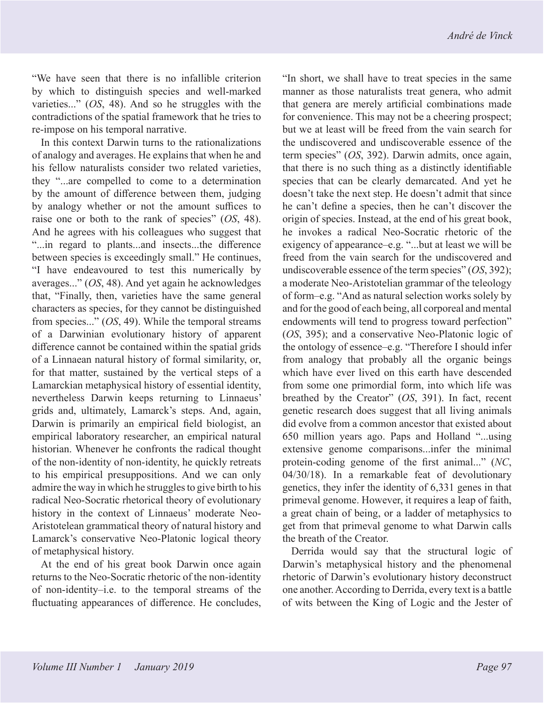"We have seen that there is no infallible criterion by which to distinguish species and well-marked varieties..." (*OS*, 48). And so he struggles with the contradictions of the spatial framework that he tries to re-impose on his temporal narrative.

In this context Darwin turns to the rationalizations of analogy and averages. He explains that when he and his fellow naturalists consider two related varieties, they "...are compelled to come to a determination by the amount of difference between them, judging by analogy whether or not the amount suffices to raise one or both to the rank of species" (*OS*, 48). And he agrees with his colleagues who suggest that "...in regard to plants...and insects...the difference between species is exceedingly small." He continues, "I have endeavoured to test this numerically by averages..." (*OS*, 48). And yet again he acknowledges that, "Finally, then, varieties have the same general characters as species, for they cannot be distinguished from species..." (*OS*, 49). While the temporal streams of a Darwinian evolutionary history of apparent difference cannot be contained within the spatial grids of a Linnaean natural history of formal similarity, or, for that matter, sustained by the vertical steps of a Lamarckian metaphysical history of essential identity, nevertheless Darwin keeps returning to Linnaeus' grids and, ultimately, Lamarck's steps. And, again, Darwin is primarily an empirical field biologist, an empirical laboratory researcher, an empirical natural historian. Whenever he confronts the radical thought of the non-identity of non-identity, he quickly retreats to his empirical presuppositions. And we can only admire the way in which he struggles to give birth to his radical Neo-Socratic rhetorical theory of evolutionary history in the context of Linnaeus' moderate Neo-Aristotelean grammatical theory of natural history and Lamarck's conservative Neo-Platonic logical theory of metaphysical history.

At the end of his great book Darwin once again returns to the Neo-Socratic rhetoric of the non-identity of non-identity–i.e. to the temporal streams of the fluctuating appearances of difference. He concludes,

"In short, we shall have to treat species in the same manner as those naturalists treat genera, who admit that genera are merely artificial combinations made for convenience. This may not be a cheering prospect; but we at least will be freed from the vain search for the undiscovered and undiscoverable essence of the term species" (*OS*, 392). Darwin admits, once again, that there is no such thing as a distinctly identifiable species that can be clearly demarcated. And yet he doesn't take the next step. He doesn't admit that since he can't define a species, then he can't discover the origin of species. Instead, at the end of his great book, he invokes a radical Neo-Socratic rhetoric of the exigency of appearance–e.g. "...but at least we will be freed from the vain search for the undiscovered and undiscoverable essence of the term species" (*OS*, 392); a moderate Neo-Aristotelian grammar of the teleology of form–e.g. "And as natural selection works solely by and for the good of each being, all corporeal and mental endowments will tend to progress toward perfection" (*OS*, 395); and a conservative Neo-Platonic logic of the ontology of essence–e.g. "Therefore I should infer from analogy that probably all the organic beings which have ever lived on this earth have descended from some one primordial form, into which life was breathed by the Creator" (*OS*, 391). In fact, recent genetic research does suggest that all living animals did evolve from a common ancestor that existed about 650 million years ago. Paps and Holland "...using extensive genome comparisons...infer the minimal protein-coding genome of the first animal..." (*NC*, 04/30/18). In a remarkable feat of devolutionary genetics, they infer the identity of 6,331 genes in that primeval genome. However, it requires a leap of faith, a great chain of being, or a ladder of metaphysics to get from that primeval genome to what Darwin calls the breath of the Creator.

Derrida would say that the structural logic of Darwin's metaphysical history and the phenomenal rhetoric of Darwin's evolutionary history deconstruct one another. According to Derrida, every text is a battle of wits between the King of Logic and the Jester of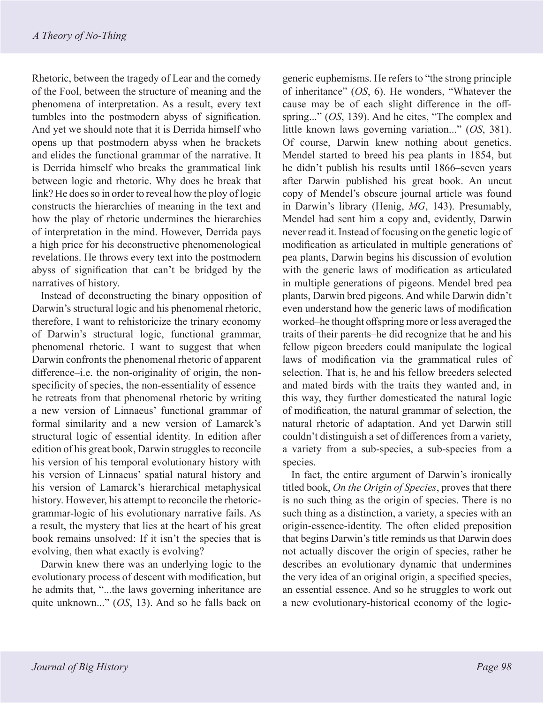Rhetoric, between the tragedy of Lear and the comedy of the Fool, between the structure of meaning and the phenomena of interpretation. As a result, every text tumbles into the postmodern abyss of signification. And yet we should note that it is Derrida himself who opens up that postmodern abyss when he brackets and elides the functional grammar of the narrative. It is Derrida himself who breaks the grammatical link between logic and rhetoric. Why does he break that link? He does so in order to reveal how the ploy of logic constructs the hierarchies of meaning in the text and how the play of rhetoric undermines the hierarchies of interpretation in the mind. However, Derrida pays a high price for his deconstructive phenomenological revelations. He throws every text into the postmodern abyss of signification that can't be bridged by the narratives of history.

Instead of deconstructing the binary opposition of Darwin's structural logic and his phenomenal rhetoric, therefore, I want to rehistoricize the trinary economy of Darwin's structural logic, functional grammar, phenomenal rhetoric. I want to suggest that when Darwin confronts the phenomenal rhetoric of apparent difference–i.e. the non-originality of origin, the nonspecificity of species, the non-essentiality of essence– he retreats from that phenomenal rhetoric by writing a new version of Linnaeus' functional grammar of formal similarity and a new version of Lamarck's structural logic of essential identity. In edition after edition of his great book, Darwin struggles to reconcile his version of his temporal evolutionary history with his version of Linnaeus' spatial natural history and his version of Lamarck's hierarchical metaphysical history. However, his attempt to reconcile the rhetoricgrammar-logic of his evolutionary narrative fails. As a result, the mystery that lies at the heart of his great book remains unsolved: If it isn't the species that is evolving, then what exactly is evolving?

Darwin knew there was an underlying logic to the evolutionary process of descent with modification, but he admits that, "...the laws governing inheritance are quite unknown..." (*OS*, 13). And so he falls back on generic euphemisms. He refers to "the strong principle of inheritance" (*OS*, 6). He wonders, "Whatever the cause may be of each slight difference in the offspring..." (*OS*, 139). And he cites, "The complex and little known laws governing variation..." (*OS*, 381). Of course, Darwin knew nothing about genetics. Mendel started to breed his pea plants in 1854, but he didn't publish his results until 1866–seven years after Darwin published his great book. An uncut copy of Mendel's obscure journal article was found in Darwin's library (Henig, *MG*, 143). Presumably, Mendel had sent him a copy and, evidently, Darwin never read it. Instead of focusing on the genetic logic of modification as articulated in multiple generations of pea plants, Darwin begins his discussion of evolution with the generic laws of modification as articulated in multiple generations of pigeons. Mendel bred pea plants, Darwin bred pigeons. And while Darwin didn't even understand how the generic laws of modification worked–he thought offspring more or less averaged the traits of their parents–he did recognize that he and his fellow pigeon breeders could manipulate the logical laws of modification via the grammatical rules of selection. That is, he and his fellow breeders selected and mated birds with the traits they wanted and, in this way, they further domesticated the natural logic of modification, the natural grammar of selection, the natural rhetoric of adaptation. And yet Darwin still couldn't distinguish a set of differences from a variety, a variety from a sub-species, a sub-species from a species.

In fact, the entire argument of Darwin's ironically titled book, *On the Origin of Species*, proves that there is no such thing as the origin of species. There is no such thing as a distinction, a variety, a species with an origin-essence-identity. The often elided preposition that begins Darwin's title reminds us that Darwin does not actually discover the origin of species, rather he describes an evolutionary dynamic that undermines the very idea of an original origin, a specified species, an essential essence. And so he struggles to work out a new evolutionary-historical economy of the logic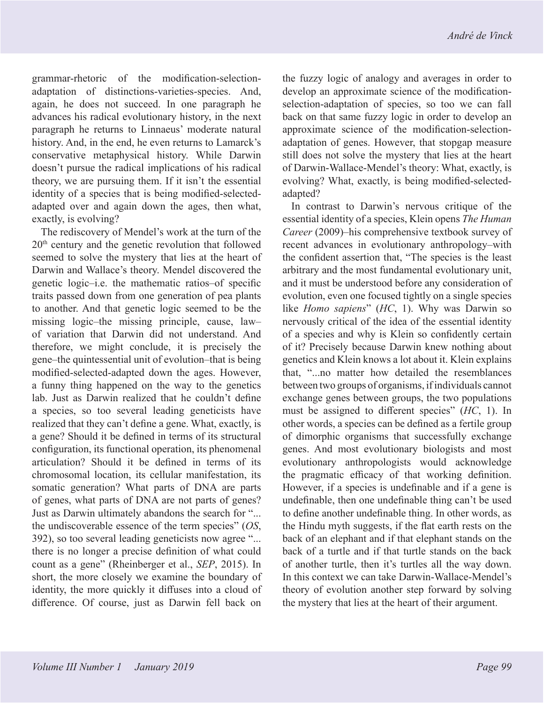grammar-rhetoric of the modification-selectionadaptation of distinctions-varieties-species. And, again, he does not succeed. In one paragraph he advances his radical evolutionary history, in the next paragraph he returns to Linnaeus' moderate natural history. And, in the end, he even returns to Lamarck's conservative metaphysical history. While Darwin doesn't pursue the radical implications of his radical theory, we are pursuing them. If it isn't the essential identity of a species that is being modified-selectedadapted over and again down the ages, then what, exactly, is evolving?

The rediscovery of Mendel's work at the turn of the 20th century and the genetic revolution that followed seemed to solve the mystery that lies at the heart of Darwin and Wallace's theory. Mendel discovered the genetic logic–i.e. the mathematic ratios–of specific traits passed down from one generation of pea plants to another. And that genetic logic seemed to be the missing logic–the missing principle, cause, law– of variation that Darwin did not understand. And therefore, we might conclude, it is precisely the gene–the quintessential unit of evolution–that is being modified-selected-adapted down the ages. However, a funny thing happened on the way to the genetics lab. Just as Darwin realized that he couldn't define a species, so too several leading geneticists have realized that they can't define a gene. What, exactly, is a gene? Should it be defined in terms of its structural configuration, its functional operation, its phenomenal articulation? Should it be defined in terms of its chromosomal location, its cellular manifestation, its somatic generation? What parts of DNA are parts of genes, what parts of DNA are not parts of genes? Just as Darwin ultimately abandons the search for "... the undiscoverable essence of the term species" (*OS*, 392), so too several leading geneticists now agree "... there is no longer a precise definition of what could count as a gene" (Rheinberger et al., *SEP*, 2015). In short, the more closely we examine the boundary of identity, the more quickly it diffuses into a cloud of difference. Of course, just as Darwin fell back on the fuzzy logic of analogy and averages in order to develop an approximate science of the modificationselection-adaptation of species, so too we can fall back on that same fuzzy logic in order to develop an approximate science of the modification-selectionadaptation of genes. However, that stopgap measure still does not solve the mystery that lies at the heart of Darwin-Wallace-Mendel's theory: What, exactly, is evolving? What, exactly, is being modified-selectedadapted?

In contrast to Darwin's nervous critique of the essential identity of a species, Klein opens *The Human Career* (2009)–his comprehensive textbook survey of recent advances in evolutionary anthropology–with the confident assertion that, "The species is the least arbitrary and the most fundamental evolutionary unit, and it must be understood before any consideration of evolution, even one focused tightly on a single species like *Homo sapiens*" (*HC*, 1). Why was Darwin so nervously critical of the idea of the essential identity of a species and why is Klein so confidently certain of it? Precisely because Darwin knew nothing about genetics and Klein knows a lot about it. Klein explains that, "...no matter how detailed the resemblances between two groups of organisms, if individuals cannot exchange genes between groups, the two populations must be assigned to different species" (*HC*, 1). In other words, a species can be defined as a fertile group of dimorphic organisms that successfully exchange genes. And most evolutionary biologists and most evolutionary anthropologists would acknowledge the pragmatic efficacy of that working definition. However, if a species is undefinable and if a gene is undefinable, then one undefinable thing can't be used to define another undefinable thing. In other words, as the Hindu myth suggests, if the flat earth rests on the back of an elephant and if that elephant stands on the back of a turtle and if that turtle stands on the back of another turtle, then it's turtles all the way down. In this context we can take Darwin-Wallace-Mendel's theory of evolution another step forward by solving the mystery that lies at the heart of their argument.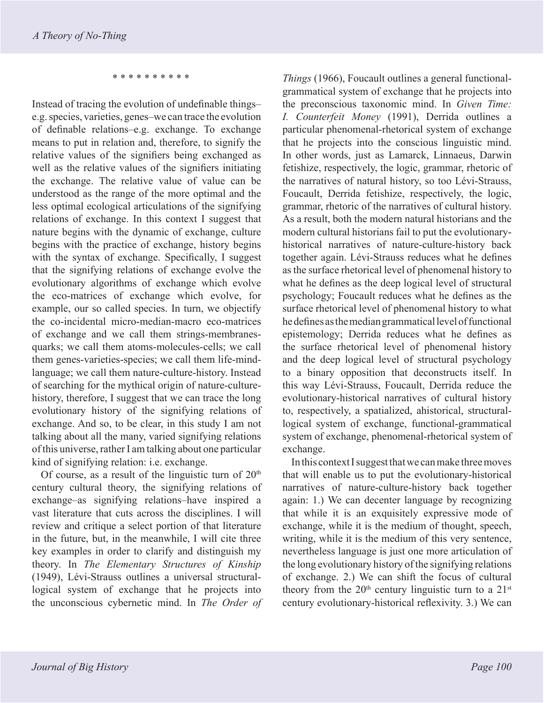\* \* \* \* \* \* \* \* \* \*

Instead of tracing the evolution of undefinable things– e.g. species, varieties, genes–we can trace the evolution of definable relations–e.g. exchange. To exchange means to put in relation and, therefore, to signify the relative values of the signifiers being exchanged as well as the relative values of the signifiers initiating the exchange. The relative value of value can be understood as the range of the more optimal and the less optimal ecological articulations of the signifying relations of exchange. In this context I suggest that nature begins with the dynamic of exchange, culture begins with the practice of exchange, history begins with the syntax of exchange. Specifically, I suggest that the signifying relations of exchange evolve the evolutionary algorithms of exchange which evolve the eco-matrices of exchange which evolve, for example, our so called species. In turn, we objectify the co-incidental micro-median-macro eco-matrices of exchange and we call them strings-membranesquarks; we call them atoms-molecules-cells; we call them genes-varieties-species; we call them life-mindlanguage; we call them nature-culture-history. Instead of searching for the mythical origin of nature-culturehistory, therefore, I suggest that we can trace the long evolutionary history of the signifying relations of exchange. And so, to be clear, in this study I am not talking about all the many, varied signifying relations of this universe, rather I am talking about one particular kind of signifying relation: i.e. exchange.

Of course, as a result of the linguistic turn of  $20<sup>th</sup>$ century cultural theory, the signifying relations of exchange–as signifying relations–have inspired a vast literature that cuts across the disciplines. I will review and critique a select portion of that literature in the future, but, in the meanwhile, I will cite three key examples in order to clarify and distinguish my theory. In *The Elementary Structures of Kinship*  (1949), Lévi-Strauss outlines a universal structurallogical system of exchange that he projects into the unconscious cybernetic mind. In *The Order of* 

*Things* (1966), Foucault outlines a general functionalgrammatical system of exchange that he projects into the preconscious taxonomic mind. In *Given Time: I. Counterfeit Money* (1991), Derrida outlines a particular phenomenal-rhetorical system of exchange that he projects into the conscious linguistic mind. In other words, just as Lamarck, Linnaeus, Darwin fetishize, respectively, the logic, grammar, rhetoric of the narratives of natural history, so too Lévi-Strauss, Foucault, Derrida fetishize, respectively, the logic, grammar, rhetoric of the narratives of cultural history. As a result, both the modern natural historians and the modern cultural historians fail to put the evolutionaryhistorical narratives of nature-culture-history back together again. Lévi-Strauss reduces what he defines as the surface rhetorical level of phenomenal history to what he defines as the deep logical level of structural psychology; Foucault reduces what he defines as the surface rhetorical level of phenomenal history to what he defines as the median grammatical level of functional epistemology; Derrida reduces what he defines as the surface rhetorical level of phenomenal history and the deep logical level of structural psychology to a binary opposition that deconstructs itself. In this way Lévi-Strauss, Foucault, Derrida reduce the evolutionary-historical narratives of cultural history to, respectively, a spatialized, ahistorical, structurallogical system of exchange, functional-grammatical system of exchange, phenomenal-rhetorical system of exchange.

In this context I suggest that we can make three moves that will enable us to put the evolutionary-historical narratives of nature-culture-history back together again: 1.) We can decenter language by recognizing that while it is an exquisitely expressive mode of exchange, while it is the medium of thought, speech, writing, while it is the medium of this very sentence, nevertheless language is just one more articulation of the long evolutionary history of the signifying relations of exchange. 2.) We can shift the focus of cultural theory from the  $20<sup>th</sup>$  century linguistic turn to a  $21<sup>st</sup>$ century evolutionary-historical reflexivity. 3.) We can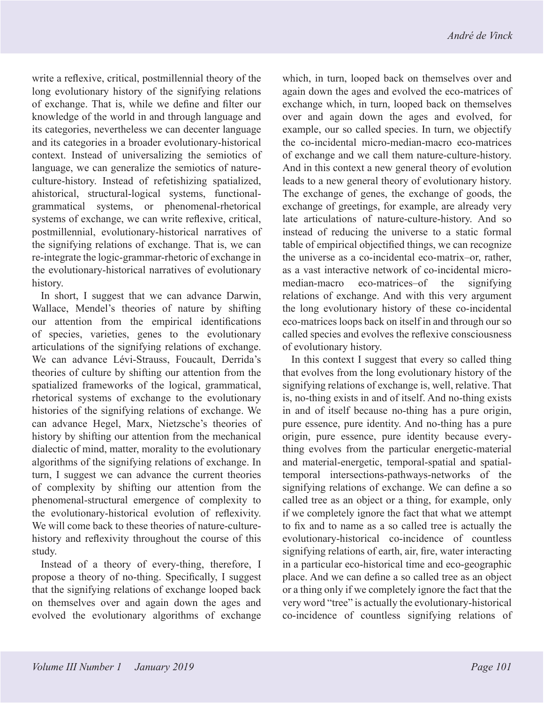write a reflexive, critical, postmillennial theory of the long evolutionary history of the signifying relations of exchange. That is, while we define and filter our knowledge of the world in and through language and its categories, nevertheless we can decenter language and its categories in a broader evolutionary-historical context. Instead of universalizing the semiotics of language, we can generalize the semiotics of natureculture-history. Instead of refetishizing spatialized, ahistorical, structural-logical systems, functionalgrammatical systems, or phenomenal-rhetorical systems of exchange, we can write reflexive, critical, postmillennial, evolutionary-historical narratives of the signifying relations of exchange. That is, we can re-integrate the logic-grammar-rhetoric of exchange in the evolutionary-historical narratives of evolutionary history.

In short, I suggest that we can advance Darwin, Wallace, Mendel's theories of nature by shifting our attention from the empirical identifications of species, varieties, genes to the evolutionary articulations of the signifying relations of exchange. We can advance Lévi-Strauss, Foucault, Derrida's theories of culture by shifting our attention from the spatialized frameworks of the logical, grammatical, rhetorical systems of exchange to the evolutionary histories of the signifying relations of exchange. We can advance Hegel, Marx, Nietzsche's theories of history by shifting our attention from the mechanical dialectic of mind, matter, morality to the evolutionary algorithms of the signifying relations of exchange. In turn, I suggest we can advance the current theories of complexity by shifting our attention from the phenomenal-structural emergence of complexity to the evolutionary-historical evolution of reflexivity. We will come back to these theories of nature-culturehistory and reflexivity throughout the course of this study.

Instead of a theory of every-thing, therefore, I propose a theory of no-thing. Specifically, I suggest that the signifying relations of exchange looped back on themselves over and again down the ages and evolved the evolutionary algorithms of exchange

which, in turn, looped back on themselves over and again down the ages and evolved the eco-matrices of exchange which, in turn, looped back on themselves over and again down the ages and evolved, for example, our so called species. In turn, we objectify the co-incidental micro-median-macro eco-matrices of exchange and we call them nature-culture-history. And in this context a new general theory of evolution leads to a new general theory of evolutionary history. The exchange of genes, the exchange of goods, the exchange of greetings, for example, are already very late articulations of nature-culture-history. And so instead of reducing the universe to a static formal table of empirical objectified things, we can recognize the universe as a co-incidental eco-matrix–or, rather, as a vast interactive network of co-incidental micromedian-macro eco-matrices–of the signifying relations of exchange. And with this very argument the long evolutionary history of these co-incidental eco-matrices loops back on itself in and through our so called species and evolves the reflexive consciousness of evolutionary history.

In this context I suggest that every so called thing that evolves from the long evolutionary history of the signifying relations of exchange is, well, relative. That is, no-thing exists in and of itself. And no-thing exists in and of itself because no-thing has a pure origin, pure essence, pure identity. And no-thing has a pure origin, pure essence, pure identity because everything evolves from the particular energetic-material and material-energetic, temporal-spatial and spatialtemporal intersections-pathways-networks of the signifying relations of exchange. We can define a so called tree as an object or a thing, for example, only if we completely ignore the fact that what we attempt to fix and to name as a so called tree is actually the evolutionary-historical co-incidence of countless signifying relations of earth, air, fire, water interacting in a particular eco-historical time and eco-geographic place. And we can define a so called tree as an object or a thing only if we completely ignore the fact that the very word "tree" is actually the evolutionary-historical co-incidence of countless signifying relations of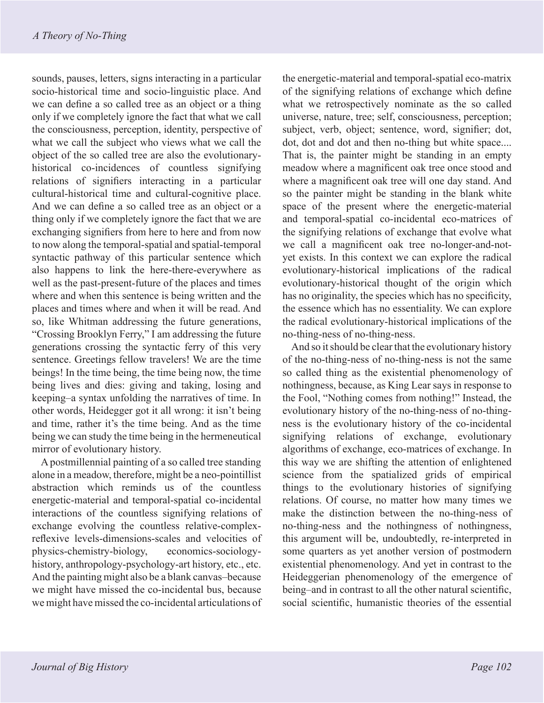sounds, pauses, letters, signs interacting in a particular socio-historical time and socio-linguistic place. And we can define a so called tree as an object or a thing only if we completely ignore the fact that what we call the consciousness, perception, identity, perspective of what we call the subject who views what we call the object of the so called tree are also the evolutionaryhistorical co-incidences of countless signifying relations of signifiers interacting in a particular cultural-historical time and cultural-cognitive place. And we can define a so called tree as an object or a thing only if we completely ignore the fact that we are exchanging signifiers from here to here and from now to now along the temporal-spatial and spatial-temporal syntactic pathway of this particular sentence which also happens to link the here-there-everywhere as well as the past-present-future of the places and times where and when this sentence is being written and the places and times where and when it will be read. And so, like Whitman addressing the future generations, "Crossing Brooklyn Ferry," I am addressing the future generations crossing the syntactic ferry of this very sentence. Greetings fellow travelers! We are the time beings! In the time being, the time being now, the time being lives and dies: giving and taking, losing and keeping–a syntax unfolding the narratives of time. In other words, Heidegger got it all wrong: it isn't being and time, rather it's the time being. And as the time being we can study the time being in the hermeneutical mirror of evolutionary history.

A postmillennial painting of a so called tree standing alone in a meadow, therefore, might be a neo-pointillist abstraction which reminds us of the countless energetic-material and temporal-spatial co-incidental interactions of the countless signifying relations of exchange evolving the countless relative-complexreflexive levels-dimensions-scales and velocities of physics-chemistry-biology, economics-sociologyhistory, anthropology-psychology-art history, etc., etc. And the painting might also be a blank canvas–because we might have missed the co-incidental bus, because we might have missed the co-incidental articulations of

the energetic-material and temporal-spatial eco-matrix of the signifying relations of exchange which define what we retrospectively nominate as the so called universe, nature, tree; self, consciousness, perception; subject, verb, object; sentence, word, signifier; dot, dot, dot and dot and then no-thing but white space.... That is, the painter might be standing in an empty meadow where a magnificent oak tree once stood and where a magnificent oak tree will one day stand. And so the painter might be standing in the blank white space of the present where the energetic-material and temporal-spatial co-incidental eco-matrices of the signifying relations of exchange that evolve what we call a magnificent oak tree no-longer-and-notyet exists. In this context we can explore the radical evolutionary-historical implications of the radical evolutionary-historical thought of the origin which has no originality, the species which has no specificity, the essence which has no essentiality. We can explore the radical evolutionary-historical implications of the no-thing-ness of no-thing-ness.

And so it should be clear that the evolutionary history of the no-thing-ness of no-thing-ness is not the same so called thing as the existential phenomenology of nothingness, because, as King Lear says in response to the Fool, "Nothing comes from nothing!" Instead, the evolutionary history of the no-thing-ness of no-thingness is the evolutionary history of the co-incidental signifying relations of exchange, evolutionary algorithms of exchange, eco-matrices of exchange. In this way we are shifting the attention of enlightened science from the spatialized grids of empirical things to the evolutionary histories of signifying relations. Of course, no matter how many times we make the distinction between the no-thing-ness of no-thing-ness and the nothingness of nothingness, this argument will be, undoubtedly, re-interpreted in some quarters as yet another version of postmodern existential phenomenology. And yet in contrast to the Heideggerian phenomenology of the emergence of being–and in contrast to all the other natural scientific, social scientific, humanistic theories of the essential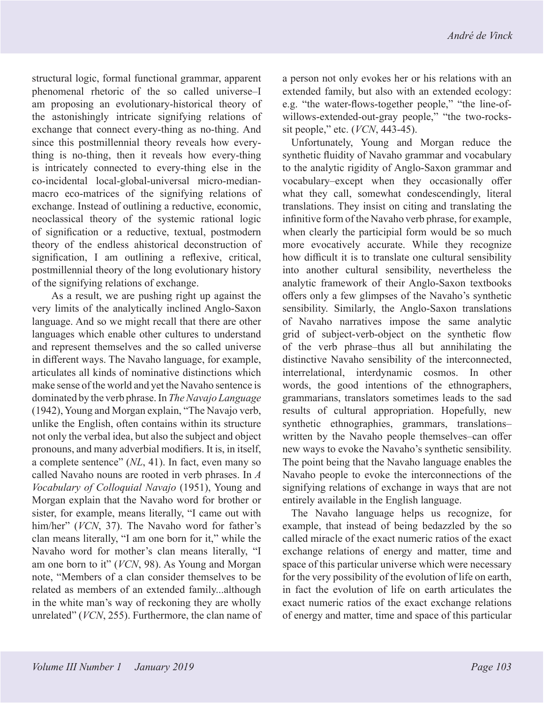structural logic, formal functional grammar, apparent phenomenal rhetoric of the so called universe–I am proposing an evolutionary-historical theory of the astonishingly intricate signifying relations of exchange that connect every-thing as no-thing. And since this postmillennial theory reveals how everything is no-thing, then it reveals how every-thing is intricately connected to every-thing else in the co-incidental local-global-universal micro-medianmacro eco-matrices of the signifying relations of exchange. Instead of outlining a reductive, economic, neoclassical theory of the systemic rational logic of signification or a reductive, textual, postmodern theory of the endless ahistorical deconstruction of signification, I am outlining a reflexive, critical, postmillennial theory of the long evolutionary history of the signifying relations of exchange.

 As a result, we are pushing right up against the very limits of the analytically inclined Anglo-Saxon language. And so we might recall that there are other languages which enable other cultures to understand and represent themselves and the so called universe in different ways. The Navaho language, for example, articulates all kinds of nominative distinctions which make sense of the world and yet the Navaho sentence is dominated by the verb phrase. In *The Navajo Language*  (1942), Young and Morgan explain, "The Navajo verb, unlike the English, often contains within its structure not only the verbal idea, but also the subject and object pronouns, and many adverbial modifiers. It is, in itself, a complete sentence" (*NL*, 41). In fact, even many so called Navaho nouns are rooted in verb phrases. In *A Vocabulary of Colloquial Navajo* (1951), Young and Morgan explain that the Navaho word for brother or sister, for example, means literally, "I came out with him/her" (*VCN*, 37). The Navaho word for father's clan means literally, "I am one born for it," while the Navaho word for mother's clan means literally, "I am one born to it" (*VCN*, 98). As Young and Morgan note, "Members of a clan consider themselves to be related as members of an extended family...although in the white man's way of reckoning they are wholly unrelated" (*VCN*, 255). Furthermore, the clan name of a person not only evokes her or his relations with an extended family, but also with an extended ecology: e.g. "the water-flows-together people," "the line-ofwillows-extended-out-gray people," "the two-rockssit people," etc. (*VCN*, 443-45).

Unfortunately, Young and Morgan reduce the synthetic fluidity of Navaho grammar and vocabulary to the analytic rigidity of Anglo-Saxon grammar and vocabulary–except when they occasionally offer what they call, somewhat condescendingly, literal translations. They insist on citing and translating the infinitive form of the Navaho verb phrase, for example, when clearly the participial form would be so much more evocatively accurate. While they recognize how difficult it is to translate one cultural sensibility into another cultural sensibility, nevertheless the analytic framework of their Anglo-Saxon textbooks offers only a few glimpses of the Navaho's synthetic sensibility. Similarly, the Anglo-Saxon translations of Navaho narratives impose the same analytic grid of subject-verb-object on the synthetic flow of the verb phrase–thus all but annihilating the distinctive Navaho sensibility of the interconnected, interrelational, interdynamic cosmos. In other words, the good intentions of the ethnographers, grammarians, translators sometimes leads to the sad results of cultural appropriation. Hopefully, new synthetic ethnographies, grammars, translations– written by the Navaho people themselves–can offer new ways to evoke the Navaho's synthetic sensibility. The point being that the Navaho language enables the Navaho people to evoke the interconnections of the signifying relations of exchange in ways that are not entirely available in the English language.

The Navaho language helps us recognize, for example, that instead of being bedazzled by the so called miracle of the exact numeric ratios of the exact exchange relations of energy and matter, time and space of this particular universe which were necessary for the very possibility of the evolution of life on earth, in fact the evolution of life on earth articulates the exact numeric ratios of the exact exchange relations of energy and matter, time and space of this particular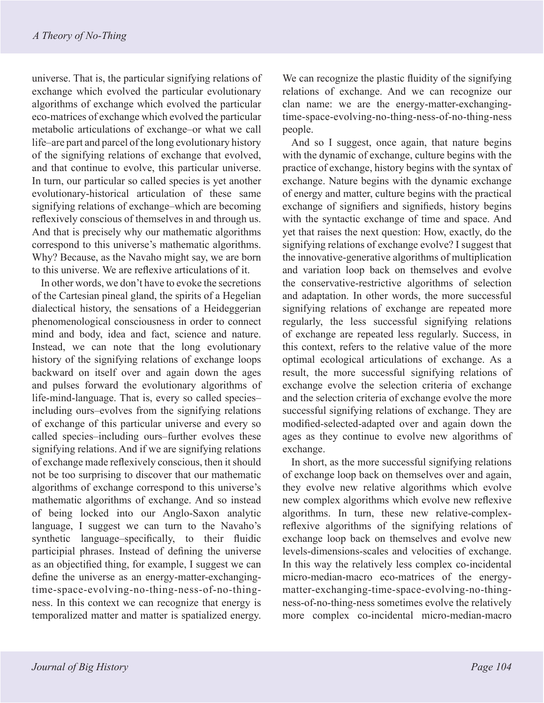universe. That is, the particular signifying relations of exchange which evolved the particular evolutionary algorithms of exchange which evolved the particular eco-matrices of exchange which evolved the particular metabolic articulations of exchange–or what we call life–are part and parcel of the long evolutionary history of the signifying relations of exchange that evolved, and that continue to evolve, this particular universe. In turn, our particular so called species is yet another evolutionary-historical articulation of these same signifying relations of exchange–which are becoming reflexively conscious of themselves in and through us. And that is precisely why our mathematic algorithms correspond to this universe's mathematic algorithms. Why? Because, as the Navaho might say, we are born to this universe. We are reflexive articulations of it.

In other words, we don't have to evoke the secretions of the Cartesian pineal gland, the spirits of a Hegelian dialectical history, the sensations of a Heideggerian phenomenological consciousness in order to connect mind and body, idea and fact, science and nature. Instead, we can note that the long evolutionary history of the signifying relations of exchange loops backward on itself over and again down the ages and pulses forward the evolutionary algorithms of life-mind-language. That is, every so called species– including ours–evolves from the signifying relations of exchange of this particular universe and every so called species–including ours–further evolves these signifying relations. And if we are signifying relations of exchange made reflexively conscious, then it should not be too surprising to discover that our mathematic algorithms of exchange correspond to this universe's mathematic algorithms of exchange. And so instead of being locked into our Anglo-Saxon analytic language, I suggest we can turn to the Navaho's synthetic language–specifically, to their fluidic participial phrases. Instead of defining the universe as an objectified thing, for example, I suggest we can define the universe as an energy-matter-exchangingtime-space-evolving-no-thing-ness-of-no-thingness. In this context we can recognize that energy is temporalized matter and matter is spatialized energy.

We can recognize the plastic fluidity of the signifying relations of exchange. And we can recognize our clan name: we are the energy-matter-exchangingtime-space-evolving-no-thing-ness-of-no-thing-ness people.

And so I suggest, once again, that nature begins with the dynamic of exchange, culture begins with the practice of exchange, history begins with the syntax of exchange. Nature begins with the dynamic exchange of energy and matter, culture begins with the practical exchange of signifiers and signifieds, history begins with the syntactic exchange of time and space. And yet that raises the next question: How, exactly, do the signifying relations of exchange evolve? I suggest that the innovative-generative algorithms of multiplication and variation loop back on themselves and evolve the conservative-restrictive algorithms of selection and adaptation. In other words, the more successful signifying relations of exchange are repeated more regularly, the less successful signifying relations of exchange are repeated less regularly. Success, in this context, refers to the relative value of the more optimal ecological articulations of exchange. As a result, the more successful signifying relations of exchange evolve the selection criteria of exchange and the selection criteria of exchange evolve the more successful signifying relations of exchange. They are modified-selected-adapted over and again down the ages as they continue to evolve new algorithms of exchange.

In short, as the more successful signifying relations of exchange loop back on themselves over and again, they evolve new relative algorithms which evolve new complex algorithms which evolve new reflexive algorithms. In turn, these new relative-complexreflexive algorithms of the signifying relations of exchange loop back on themselves and evolve new levels-dimensions-scales and velocities of exchange. In this way the relatively less complex co-incidental micro-median-macro eco-matrices of the energymatter-exchanging-time-space-evolving-no-thingness-of-no-thing-ness sometimes evolve the relatively more complex co-incidental micro-median-macro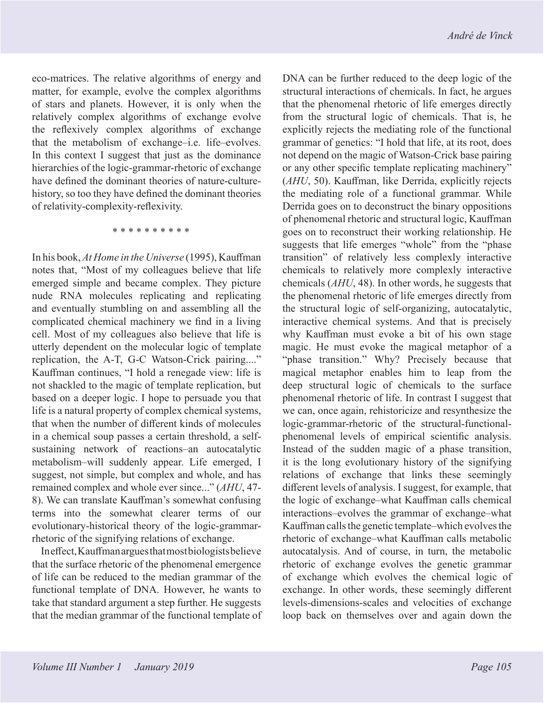eco-matrices. The relative algorithms of energy and matter, for example, evolve the complex algorithms of stars and planets. However, it is only when the relatively complex algorithms of exchange evolve the reflexively complex algorithms of exchange that the metabolism of exchange–i.e. life–evolves. In this context I suggest that just as the dominance hierarchies of the logic-grammar-rhetoric of exchange have defined the dominant theories of nature-culturehistory, so too they have defined the dominant theories of relativity-complexity-reflexivity.

\* \* \* \* \* \* \* \* \* \*

In his book, *At Home in the Universe* (1995), Kauffman notes that, "Most of my colleagues believe that life emerged simple and became complex. They picture nude RNA molecules replicating and replicating and eventually stumbling on and assembling all the complicated chemical machinery we find in a living cell. Most of my colleagues also believe that life is utterly dependent on the molecular logic of template replication, the A-T, G-C Watson-Crick pairing...." Kauffman continues, "I hold a renegade view: life is not shackled to the magic of template replication, but based on a deeper logic. I hope to persuade you that life is a natural property of complex chemical systems, that when the number of different kinds of molecules in a chemical soup passes a certain threshold, a selfsustaining network of reactions–an autocatalytic metabolism–will suddenly appear. Life emerged, I suggest, not simple, but complex and whole, and has remained complex and whole ever since..." (*AHU*, 47- 8). We can translate Kauffman's somewhat confusing terms into the somewhat clearer terms of our evolutionary-historical theory of the logic-grammarrhetoric of the signifying relations of exchange.

In effect, Kauffman argues that most biologists believe that the surface rhetoric of the phenomenal emergence of life can be reduced to the median grammar of the functional template of DNA. However, he wants to take that standard argument a step further. He suggests that the median grammar of the functional template of DNA can be further reduced to the deep logic of the structural interactions of chemicals. In fact, he argues that the phenomenal rhetoric of life emerges directly from the structural logic of chemicals. That is, he explicitly rejects the mediating role of the functional grammar of genetics: "I hold that life, at its root, does not depend on the magic of Watson-Crick base pairing or any other specific template replicating machinery" (*AHU*, 50). Kauffman, like Derrida, explicitly rejects the mediating role of a functional grammar. While Derrida goes on to deconstruct the binary oppositions of phenomenal rhetoric and structural logic, Kauffman goes on to reconstruct their working relationship. He suggests that life emerges "whole" from the "phase transition" of relatively less complexly interactive chemicals to relatively more complexly interactive chemicals (*AHU*, 48). In other words, he suggests that the phenomenal rhetoric of life emerges directly from the structural logic of self-organizing, autocatalytic, interactive chemical systems. And that is precisely why Kauffman must evoke a bit of his own stage magic. He must evoke the magical metaphor of a "phase transition." Why? Precisely because that magical metaphor enables him to leap from the deep structural logic of chemicals to the surface phenomenal rhetoric of life. In contrast I suggest that we can, once again, rehistoricize and resynthesize the logic-grammar-rhetoric of the structural-functionalphenomenal levels of empirical scientific analysis. Instead of the sudden magic of a phase transition, it is the long evolutionary history of the signifying relations of exchange that links these seemingly different levels of analysis. I suggest, for example, that the logic of exchange–what Kauffman calls chemical interactions–evolves the grammar of exchange–what Kauffman calls the genetic template–which evolves the rhetoric of exchange–what Kauffman calls metabolic autocatalysis. And of course, in turn, the metabolic rhetoric of exchange evolves the genetic grammar of exchange which evolves the chemical logic of exchange. In other words, these seemingly different levels-dimensions-scales and velocities of exchange loop back on themselves over and again down the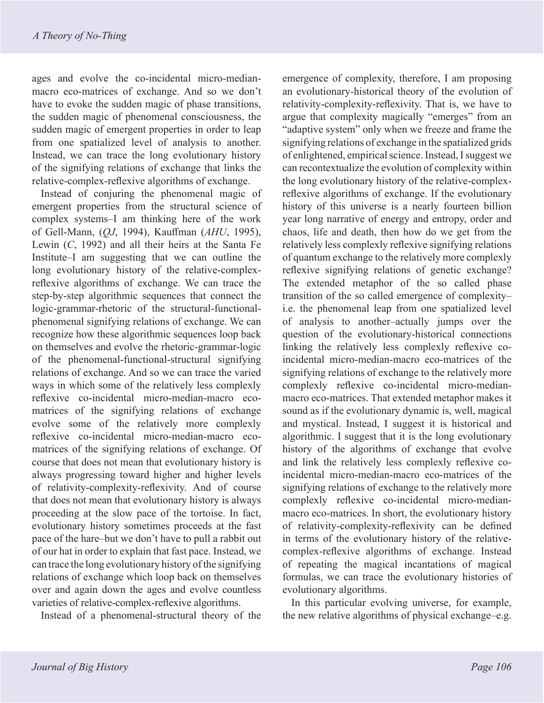ages and evolve the co-incidental micro-medianmacro eco-matrices of exchange. And so we don't have to evoke the sudden magic of phase transitions, the sudden magic of phenomenal consciousness, the sudden magic of emergent properties in order to leap from one spatialized level of analysis to another. Instead, we can trace the long evolutionary history of the signifying relations of exchange that links the relative-complex-reflexive algorithms of exchange.

Instead of conjuring the phenomenal magic of emergent properties from the structural science of complex systems–I am thinking here of the work of Gell-Mann, (*QJ*, 1994), Kauffman (*AHU*, 1995), Lewin (*C*, 1992) and all their heirs at the Santa Fe Institute–I am suggesting that we can outline the long evolutionary history of the relative-complexreflexive algorithms of exchange. We can trace the step-by-step algorithmic sequences that connect the logic-grammar-rhetoric of the structural-functionalphenomenal signifying relations of exchange. We can recognize how these algorithmic sequences loop back on themselves and evolve the rhetoric-grammar-logic of the phenomenal-functional-structural signifying relations of exchange. And so we can trace the varied ways in which some of the relatively less complexly reflexive co-incidental micro-median-macro ecomatrices of the signifying relations of exchange evolve some of the relatively more complexly reflexive co-incidental micro-median-macro ecomatrices of the signifying relations of exchange. Of course that does not mean that evolutionary history is always progressing toward higher and higher levels of relativity-complexity-reflexivity. And of course that does not mean that evolutionary history is always proceeding at the slow pace of the tortoise. In fact, evolutionary history sometimes proceeds at the fast pace of the hare–but we don't have to pull a rabbit out of our hat in order to explain that fast pace. Instead, we can trace the long evolutionary history of the signifying relations of exchange which loop back on themselves over and again down the ages and evolve countless varieties of relative-complex-reflexive algorithms.

Instead of a phenomenal-structural theory of the

emergence of complexity, therefore, I am proposing an evolutionary-historical theory of the evolution of relativity-complexity-reflexivity. That is, we have to argue that complexity magically "emerges" from an "adaptive system" only when we freeze and frame the signifying relations of exchange in the spatialized grids of enlightened, empirical science. Instead, I suggest we can recontextualize the evolution of complexity within the long evolutionary history of the relative-complexreflexive algorithms of exchange. If the evolutionary history of this universe is a nearly fourteen billion year long narrative of energy and entropy, order and chaos, life and death, then how do we get from the relatively less complexly reflexive signifying relations of quantum exchange to the relatively more complexly reflexive signifying relations of genetic exchange? The extended metaphor of the so called phase transition of the so called emergence of complexity– i.e. the phenomenal leap from one spatialized level of analysis to another–actually jumps over the question of the evolutionary-historical connections linking the relatively less complexly reflexive coincidental micro-median-macro eco-matrices of the signifying relations of exchange to the relatively more complexly reflexive co-incidental micro-medianmacro eco-matrices. That extended metaphor makes it sound as if the evolutionary dynamic is, well, magical and mystical. Instead, I suggest it is historical and algorithmic. I suggest that it is the long evolutionary history of the algorithms of exchange that evolve and link the relatively less complexly reflexive coincidental micro-median-macro eco-matrices of the signifying relations of exchange to the relatively more complexly reflexive co-incidental micro-medianmacro eco-matrices. In short, the evolutionary history of relativity-complexity-reflexivity can be defined in terms of the evolutionary history of the relativecomplex-reflexive algorithms of exchange. Instead of repeating the magical incantations of magical formulas, we can trace the evolutionary histories of evolutionary algorithms.

In this particular evolving universe, for example, the new relative algorithms of physical exchange–e.g.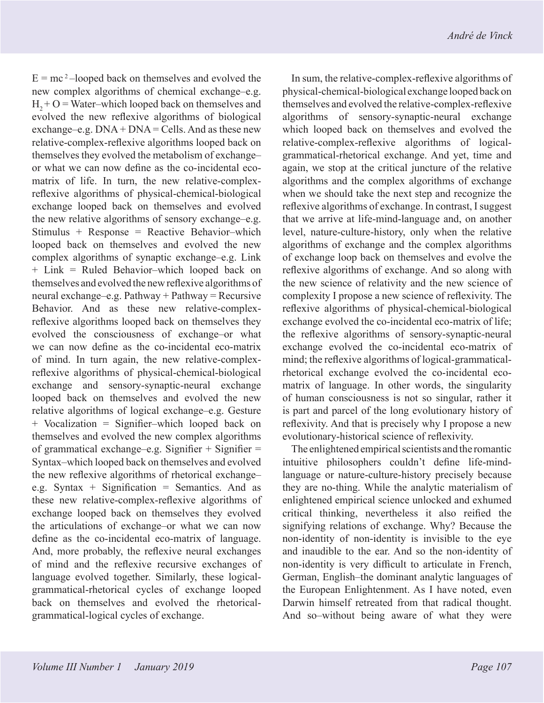$E = mc^2$  –looped back on themselves and evolved the new complex algorithms of chemical exchange–e.g.  $H<sub>2</sub> + O = Water—which looped back on themselves and$ evolved the new reflexive algorithms of biological exchange–e.g.  $DNA + DNA = Cells$ . And as these new relative-complex-reflexive algorithms looped back on themselves they evolved the metabolism of exchange– or what we can now define as the co-incidental ecomatrix of life. In turn, the new relative-complexreflexive algorithms of physical-chemical-biological exchange looped back on themselves and evolved the new relative algorithms of sensory exchange–e.g. Stimulus + Response = Reactive Behavior–which looped back on themselves and evolved the new complex algorithms of synaptic exchange–e.g. Link + Link = Ruled Behavior–which looped back on themselves and evolved the new reflexive algorithms of neural exchange–e.g. Pathway + Pathway = Recursive Behavior. And as these new relative-complexreflexive algorithms looped back on themselves they evolved the consciousness of exchange–or what we can now define as the co-incidental eco-matrix of mind. In turn again, the new relative-complexreflexive algorithms of physical-chemical-biological exchange and sensory-synaptic-neural exchange looped back on themselves and evolved the new relative algorithms of logical exchange–e.g. Gesture + Vocalization = Signifier–which looped back on themselves and evolved the new complex algorithms of grammatical exchange–e.g. Signifier  $+$  Signifier  $=$ Syntax–which looped back on themselves and evolved the new reflexive algorithms of rhetorical exchange– e.g. Syntax + Signification = Semantics. And as these new relative-complex-reflexive algorithms of exchange looped back on themselves they evolved the articulations of exchange–or what we can now define as the co-incidental eco-matrix of language. And, more probably, the reflexive neural exchanges of mind and the reflexive recursive exchanges of language evolved together. Similarly, these logicalgrammatical-rhetorical cycles of exchange looped back on themselves and evolved the rhetoricalgrammatical-logical cycles of exchange.

In sum, the relative-complex-reflexive algorithms of physical-chemical-biological exchange looped back on themselves and evolved the relative-complex-reflexive algorithms of sensory-synaptic-neural exchange which looped back on themselves and evolved the relative-complex-reflexive algorithms of logicalgrammatical-rhetorical exchange. And yet, time and again, we stop at the critical juncture of the relative algorithms and the complex algorithms of exchange when we should take the next step and recognize the reflexive algorithms of exchange. In contrast, I suggest that we arrive at life-mind-language and, on another level, nature-culture-history, only when the relative algorithms of exchange and the complex algorithms of exchange loop back on themselves and evolve the reflexive algorithms of exchange. And so along with the new science of relativity and the new science of complexity I propose a new science of reflexivity. The reflexive algorithms of physical-chemical-biological exchange evolved the co-incidental eco-matrix of life; the reflexive algorithms of sensory-synaptic-neural exchange evolved the co-incidental eco-matrix of mind; the reflexive algorithms of logical-grammaticalrhetorical exchange evolved the co-incidental ecomatrix of language. In other words, the singularity of human consciousness is not so singular, rather it is part and parcel of the long evolutionary history of reflexivity. And that is precisely why I propose a new evolutionary-historical science of reflexivity.

The enlightened empirical scientists and the romantic intuitive philosophers couldn't define life-mindlanguage or nature-culture-history precisely because they are no-thing. While the analytic materialism of enlightened empirical science unlocked and exhumed critical thinking, nevertheless it also reified the signifying relations of exchange. Why? Because the non-identity of non-identity is invisible to the eye and inaudible to the ear. And so the non-identity of non-identity is very difficult to articulate in French, German, English–the dominant analytic languages of the European Enlightenment. As I have noted, even Darwin himself retreated from that radical thought. And so–without being aware of what they were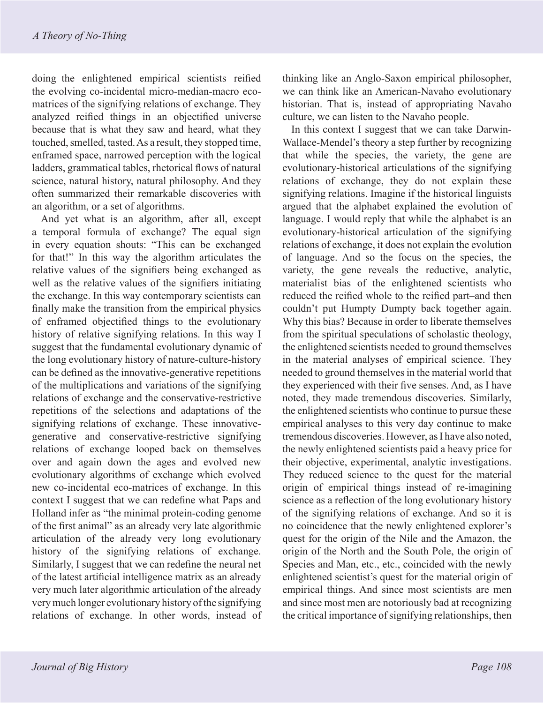doing–the enlightened empirical scientists reified the evolving co-incidental micro-median-macro ecomatrices of the signifying relations of exchange. They analyzed reified things in an objectified universe because that is what they saw and heard, what they touched, smelled, tasted. As a result, they stopped time, enframed space, narrowed perception with the logical ladders, grammatical tables, rhetorical flows of natural science, natural history, natural philosophy. And they often summarized their remarkable discoveries with an algorithm, or a set of algorithms.

And yet what is an algorithm, after all, except a temporal formula of exchange? The equal sign in every equation shouts: "This can be exchanged for that!" In this way the algorithm articulates the relative values of the signifiers being exchanged as well as the relative values of the signifiers initiating the exchange. In this way contemporary scientists can finally make the transition from the empirical physics of enframed objectified things to the evolutionary history of relative signifying relations. In this way I suggest that the fundamental evolutionary dynamic of the long evolutionary history of nature-culture-history can be defined as the innovative-generative repetitions of the multiplications and variations of the signifying relations of exchange and the conservative-restrictive repetitions of the selections and adaptations of the signifying relations of exchange. These innovativegenerative and conservative-restrictive signifying relations of exchange looped back on themselves over and again down the ages and evolved new evolutionary algorithms of exchange which evolved new co-incidental eco-matrices of exchange. In this context I suggest that we can redefine what Paps and Holland infer as "the minimal protein-coding genome of the first animal" as an already very late algorithmic articulation of the already very long evolutionary history of the signifying relations of exchange. Similarly, I suggest that we can redefine the neural net of the latest artificial intelligence matrix as an already very much later algorithmic articulation of the already very much longer evolutionary history of the signifying relations of exchange. In other words, instead of thinking like an Anglo-Saxon empirical philosopher, we can think like an American-Navaho evolutionary historian. That is, instead of appropriating Navaho culture, we can listen to the Navaho people.

In this context I suggest that we can take Darwin-Wallace-Mendel's theory a step further by recognizing that while the species, the variety, the gene are evolutionary-historical articulations of the signifying relations of exchange, they do not explain these signifying relations. Imagine if the historical linguists argued that the alphabet explained the evolution of language. I would reply that while the alphabet is an evolutionary-historical articulation of the signifying relations of exchange, it does not explain the evolution of language. And so the focus on the species, the variety, the gene reveals the reductive, analytic, materialist bias of the enlightened scientists who reduced the reified whole to the reified part–and then couldn't put Humpty Dumpty back together again. Why this bias? Because in order to liberate themselves from the spiritual speculations of scholastic theology, the enlightened scientists needed to ground themselves in the material analyses of empirical science. They needed to ground themselves in the material world that they experienced with their five senses. And, as I have noted, they made tremendous discoveries. Similarly, the enlightened scientists who continue to pursue these empirical analyses to this very day continue to make tremendous discoveries. However, as I have also noted, the newly enlightened scientists paid a heavy price for their objective, experimental, analytic investigations. They reduced science to the quest for the material origin of empirical things instead of re-imagining science as a reflection of the long evolutionary history of the signifying relations of exchange. And so it is no coincidence that the newly enlightened explorer's quest for the origin of the Nile and the Amazon, the origin of the North and the South Pole, the origin of Species and Man, etc., etc., coincided with the newly enlightened scientist's quest for the material origin of empirical things. And since most scientists are men and since most men are notoriously bad at recognizing the critical importance of signifying relationships, then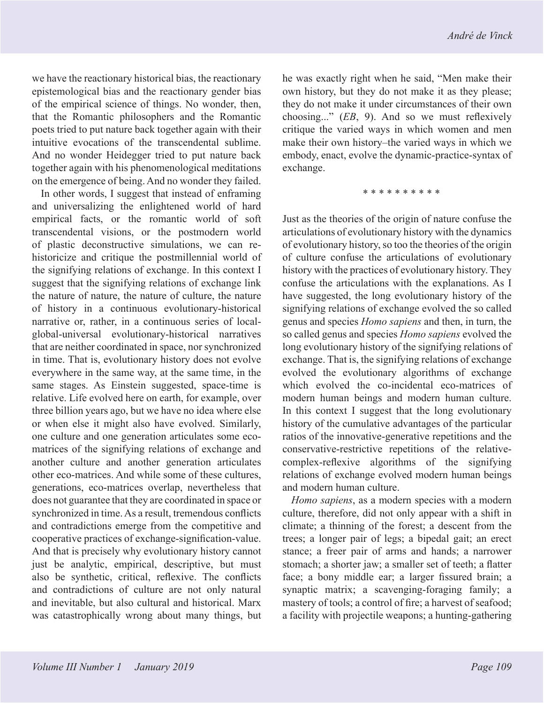we have the reactionary historical bias, the reactionary epistemological bias and the reactionary gender bias of the empirical science of things. No wonder, then, that the Romantic philosophers and the Romantic poets tried to put nature back together again with their intuitive evocations of the transcendental sublime. And no wonder Heidegger tried to put nature back together again with his phenomenological meditations on the emergence of being. And no wonder they failed.

In other words, I suggest that instead of enframing and universalizing the enlightened world of hard empirical facts, or the romantic world of soft transcendental visions, or the postmodern world of plastic deconstructive simulations, we can rehistoricize and critique the postmillennial world of the signifying relations of exchange. In this context I suggest that the signifying relations of exchange link the nature of nature, the nature of culture, the nature of history in a continuous evolutionary-historical narrative or, rather, in a continuous series of localglobal-universal evolutionary-historical narratives that are neither coordinated in space, nor synchronized in time. That is, evolutionary history does not evolve everywhere in the same way, at the same time, in the same stages. As Einstein suggested, space-time is relative. Life evolved here on earth, for example, over three billion years ago, but we have no idea where else or when else it might also have evolved. Similarly, one culture and one generation articulates some ecomatrices of the signifying relations of exchange and another culture and another generation articulates other eco-matrices. And while some of these cultures, generations, eco-matrices overlap, nevertheless that does not guarantee that they are coordinated in space or synchronized in time. As a result, tremendous conflicts and contradictions emerge from the competitive and cooperative practices of exchange-signification-value. And that is precisely why evolutionary history cannot just be analytic, empirical, descriptive, but must also be synthetic, critical, reflexive. The conflicts and contradictions of culture are not only natural and inevitable, but also cultural and historical. Marx was catastrophically wrong about many things, but he was exactly right when he said, "Men make their own history, but they do not make it as they please; they do not make it under circumstances of their own choosing..." (*EB*, 9). And so we must reflexively critique the varied ways in which women and men make their own history–the varied ways in which we embody, enact, evolve the dynamic-practice-syntax of exchange.

\* \* \* \* \* \* \* \* \* \*

Just as the theories of the origin of nature confuse the articulations of evolutionary history with the dynamics of evolutionary history, so too the theories of the origin of culture confuse the articulations of evolutionary history with the practices of evolutionary history. They confuse the articulations with the explanations. As I have suggested, the long evolutionary history of the signifying relations of exchange evolved the so called genus and species *Homo sapiens* and then, in turn, the so called genus and species *Homo sapiens* evolved the long evolutionary history of the signifying relations of exchange. That is, the signifying relations of exchange evolved the evolutionary algorithms of exchange which evolved the co-incidental eco-matrices of modern human beings and modern human culture. In this context I suggest that the long evolutionary history of the cumulative advantages of the particular ratios of the innovative-generative repetitions and the conservative-restrictive repetitions of the relativecomplex-reflexive algorithms of the signifying relations of exchange evolved modern human beings and modern human culture.

*Homo sapiens*, as a modern species with a modern culture, therefore, did not only appear with a shift in climate; a thinning of the forest; a descent from the trees; a longer pair of legs; a bipedal gait; an erect stance; a freer pair of arms and hands; a narrower stomach; a shorter jaw; a smaller set of teeth; a flatter face; a bony middle ear; a larger fissured brain; a synaptic matrix; a scavenging-foraging family; a mastery of tools; a control of fire; a harvest of seafood; a facility with projectile weapons; a hunting-gathering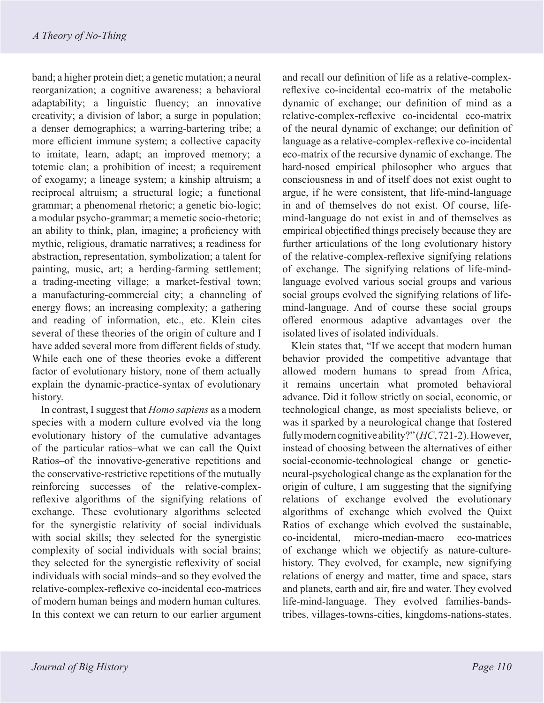band; a higher protein diet; a genetic mutation; a neural reorganization; a cognitive awareness; a behavioral adaptability; a linguistic fluency; an innovative creativity; a division of labor; a surge in population; a denser demographics; a warring-bartering tribe; a more efficient immune system; a collective capacity to imitate, learn, adapt; an improved memory; a totemic clan; a prohibition of incest; a requirement of exogamy; a lineage system; a kinship altruism; a reciprocal altruism; a structural logic; a functional grammar; a phenomenal rhetoric; a genetic bio-logic; a modular psycho-grammar; a memetic socio-rhetoric; an ability to think, plan, imagine; a proficiency with mythic, religious, dramatic narratives; a readiness for abstraction, representation, symbolization; a talent for painting, music, art; a herding-farming settlement; a trading-meeting village; a market-festival town; a manufacturing-commercial city; a channeling of energy flows; an increasing complexity; a gathering and reading of information, etc., etc. Klein cites several of these theories of the origin of culture and I have added several more from different fields of study. While each one of these theories evoke a different factor of evolutionary history, none of them actually explain the dynamic-practice-syntax of evolutionary history.

In contrast, I suggest that *Homo sapiens* as a modern species with a modern culture evolved via the long evolutionary history of the cumulative advantages of the particular ratios–what we can call the Quixt Ratios–of the innovative-generative repetitions and the conservative-restrictive repetitions of the mutually reinforcing successes of the relative-complexreflexive algorithms of the signifying relations of exchange. These evolutionary algorithms selected for the synergistic relativity of social individuals with social skills; they selected for the synergistic complexity of social individuals with social brains; they selected for the synergistic reflexivity of social individuals with social minds–and so they evolved the relative-complex-reflexive co-incidental eco-matrices of modern human beings and modern human cultures. In this context we can return to our earlier argument

and recall our definition of life as a relative-complexreflexive co-incidental eco-matrix of the metabolic dynamic of exchange; our definition of mind as a relative-complex-reflexive co-incidental eco-matrix of the neural dynamic of exchange; our definition of language as a relative-complex-reflexive co-incidental eco-matrix of the recursive dynamic of exchange. The hard-nosed empirical philosopher who argues that consciousness in and of itself does not exist ought to argue, if he were consistent, that life-mind-language in and of themselves do not exist. Of course, lifemind-language do not exist in and of themselves as empirical objectified things precisely because they are further articulations of the long evolutionary history of the relative-complex-reflexive signifying relations of exchange. The signifying relations of life-mindlanguage evolved various social groups and various social groups evolved the signifying relations of lifemind-language. And of course these social groups offered enormous adaptive advantages over the isolated lives of isolated individuals.

Klein states that, "If we accept that modern human behavior provided the competitive advantage that allowed modern humans to spread from Africa, it remains uncertain what promoted behavioral advance. Did it follow strictly on social, economic, or technological change, as most specialists believe, or was it sparked by a neurological change that fostered fully modern cognitive ability?" (*HC*, 721-2). However, instead of choosing between the alternatives of either social-economic-technological change or geneticneural-psychological change as the explanation for the origin of culture, I am suggesting that the signifying relations of exchange evolved the evolutionary algorithms of exchange which evolved the Quixt Ratios of exchange which evolved the sustainable, co-incidental, micro-median-macro eco-matrices of exchange which we objectify as nature-culturehistory. They evolved, for example, new signifying relations of energy and matter, time and space, stars and planets, earth and air, fire and water. They evolved life-mind-language. They evolved families-bandstribes, villages-towns-cities, kingdoms-nations-states.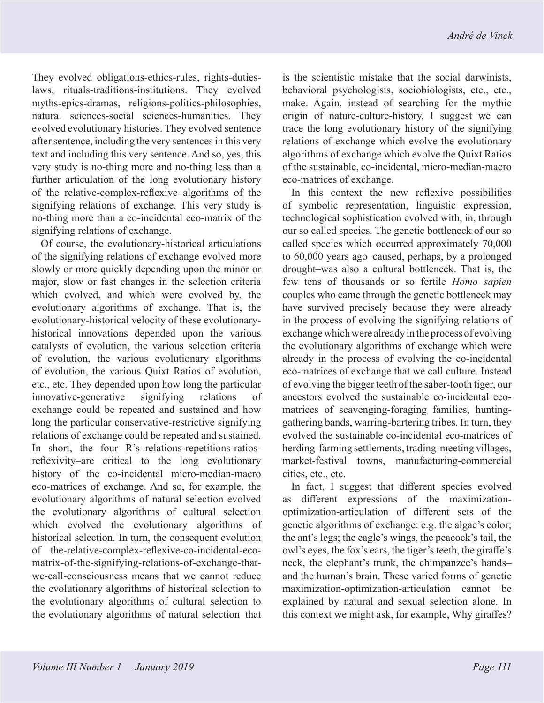They evolved obligations-ethics-rules, rights-dutieslaws, rituals-traditions-institutions. They evolved myths-epics-dramas, religions-politics-philosophies, natural sciences-social sciences-humanities. They evolved evolutionary histories. They evolved sentence after sentence, including the very sentences in this very text and including this very sentence. And so, yes, this very study is no-thing more and no-thing less than a further articulation of the long evolutionary history of the relative-complex-reflexive algorithms of the signifying relations of exchange. This very study is no-thing more than a co-incidental eco-matrix of the signifying relations of exchange.

Of course, the evolutionary-historical articulations of the signifying relations of exchange evolved more slowly or more quickly depending upon the minor or major, slow or fast changes in the selection criteria which evolved, and which were evolved by, the evolutionary algorithms of exchange. That is, the evolutionary-historical velocity of these evolutionaryhistorical innovations depended upon the various catalysts of evolution, the various selection criteria of evolution, the various evolutionary algorithms of evolution, the various Quixt Ratios of evolution, etc., etc. They depended upon how long the particular innovative-generative signifying relations of exchange could be repeated and sustained and how long the particular conservative-restrictive signifying relations of exchange could be repeated and sustained. In short, the four R's–relations-repetitions-ratiosreflexivity–are critical to the long evolutionary history of the co-incidental micro-median-macro eco-matrices of exchange. And so, for example, the evolutionary algorithms of natural selection evolved the evolutionary algorithms of cultural selection which evolved the evolutionary algorithms of historical selection. In turn, the consequent evolution of the-relative-complex-reflexive-co-incidental-ecomatrix-of-the-signifying-relations-of-exchange-thatwe-call-consciousness means that we cannot reduce the evolutionary algorithms of historical selection to the evolutionary algorithms of cultural selection to the evolutionary algorithms of natural selection–that

is the scientistic mistake that the social darwinists, behavioral psychologists, sociobiologists, etc., etc., make. Again, instead of searching for the mythic origin of nature-culture-history, I suggest we can trace the long evolutionary history of the signifying relations of exchange which evolve the evolutionary algorithms of exchange which evolve the Quixt Ratios of the sustainable, co-incidental, micro-median-macro eco-matrices of exchange.

In this context the new reflexive possibilities of symbolic representation, linguistic expression, technological sophistication evolved with, in, through our so called species. The genetic bottleneck of our so called species which occurred approximately 70,000 to 60,000 years ago–caused, perhaps, by a prolonged drought–was also a cultural bottleneck. That is, the few tens of thousands or so fertile *Homo sapien*  couples who came through the genetic bottleneck may have survived precisely because they were already in the process of evolving the signifying relations of exchange which were already in the process of evolving the evolutionary algorithms of exchange which were already in the process of evolving the co-incidental eco-matrices of exchange that we call culture. Instead of evolving the bigger teeth of the saber-tooth tiger, our ancestors evolved the sustainable co-incidental ecomatrices of scavenging-foraging families, huntinggathering bands, warring-bartering tribes. In turn, they evolved the sustainable co-incidental eco-matrices of herding-farming settlements, trading-meeting villages, market-festival towns, manufacturing-commercial cities, etc., etc.

In fact, I suggest that different species evolved as different expressions of the maximizationoptimization-articulation of different sets of the genetic algorithms of exchange: e.g. the algae's color; the ant's legs; the eagle's wings, the peacock's tail, the owl's eyes, the fox's ears, the tiger's teeth, the giraffe's neck, the elephant's trunk, the chimpanzee's hands– and the human's brain. These varied forms of genetic maximization-optimization-articulation cannot be explained by natural and sexual selection alone. In this context we might ask, for example, Why giraffes?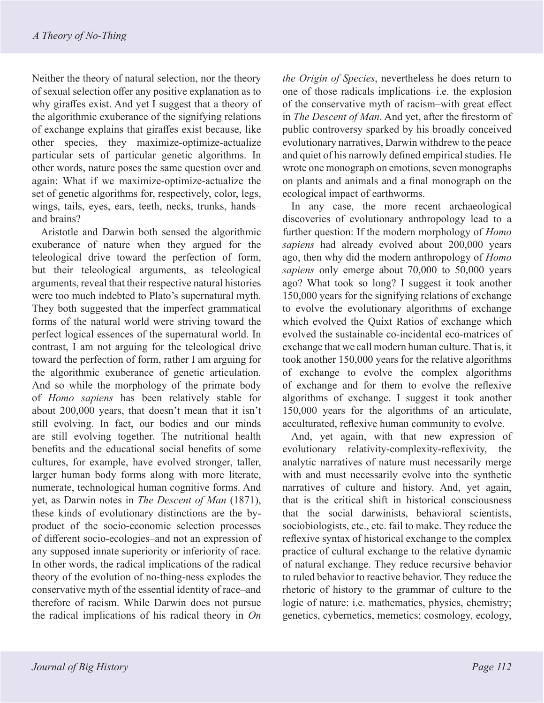Neither the theory of natural selection, nor the theory of sexual selection offer any positive explanation as to why giraffes exist. And yet I suggest that a theory of the algorithmic exuberance of the signifying relations of exchange explains that giraffes exist because, like other species, they maximize-optimize-actualize particular sets of particular genetic algorithms. In other words, nature poses the same question over and again: What if we maximize-optimize-actualize the set of genetic algorithms for, respectively, color, legs, wings, tails, eyes, ears, teeth, necks, trunks, hands– and brains?

Aristotle and Darwin both sensed the algorithmic exuberance of nature when they argued for the teleological drive toward the perfection of form, but their teleological arguments, as teleological arguments, reveal that their respective natural histories were too much indebted to Plato's supernatural myth. They both suggested that the imperfect grammatical forms of the natural world were striving toward the perfect logical essences of the supernatural world. In contrast, I am not arguing for the teleological drive toward the perfection of form, rather I am arguing for the algorithmic exuberance of genetic articulation. And so while the morphology of the primate body of *Homo sapiens* has been relatively stable for about 200,000 years, that doesn't mean that it isn't still evolving. In fact, our bodies and our minds are still evolving together. The nutritional health benefits and the educational social benefits of some cultures, for example, have evolved stronger, taller, larger human body forms along with more literate, numerate, technological human cognitive forms. And yet, as Darwin notes in *The Descent of Man* (1871), these kinds of evolutionary distinctions are the byproduct of the socio-economic selection processes of different socio-ecologies–and not an expression of any supposed innate superiority or inferiority of race. In other words, the radical implications of the radical theory of the evolution of no-thing-ness explodes the conservative myth of the essential identity of race–and therefore of racism. While Darwin does not pursue the radical implications of his radical theory in *On* 

*the Origin of Species*, nevertheless he does return to one of those radicals implications–i.e. the explosion of the conservative myth of racism–with great effect in *The Descent of Man*. And yet, after the firestorm of public controversy sparked by his broadly conceived evolutionary narratives, Darwin withdrew to the peace and quiet of his narrowly defined empirical studies. He wrote one monograph on emotions, seven monographs on plants and animals and a final monograph on the ecological impact of earthworms.

In any case, the more recent archaeological discoveries of evolutionary anthropology lead to a further question: If the modern morphology of *Homo sapiens* had already evolved about 200,000 years ago, then why did the modern anthropology of *Homo sapiens* only emerge about 70,000 to 50,000 years ago? What took so long? I suggest it took another 150,000 years for the signifying relations of exchange to evolve the evolutionary algorithms of exchange which evolved the Quixt Ratios of exchange which evolved the sustainable co-incidental eco-matrices of exchange that we call modern human culture. That is, it took another 150,000 years for the relative algorithms of exchange to evolve the complex algorithms of exchange and for them to evolve the reflexive algorithms of exchange. I suggest it took another 150,000 years for the algorithms of an articulate, acculturated, reflexive human community to evolve.

And, yet again, with that new expression of evolutionary relativity-complexity-reflexivity, the analytic narratives of nature must necessarily merge with and must necessarily evolve into the synthetic narratives of culture and history. And, yet again, that is the critical shift in historical consciousness that the social darwinists, behavioral scientists, sociobiologists, etc., etc. fail to make. They reduce the reflexive syntax of historical exchange to the complex practice of cultural exchange to the relative dynamic of natural exchange. They reduce recursive behavior to ruled behavior to reactive behavior. They reduce the rhetoric of history to the grammar of culture to the logic of nature: i.e. mathematics, physics, chemistry; genetics, cybernetics, memetics; cosmology, ecology,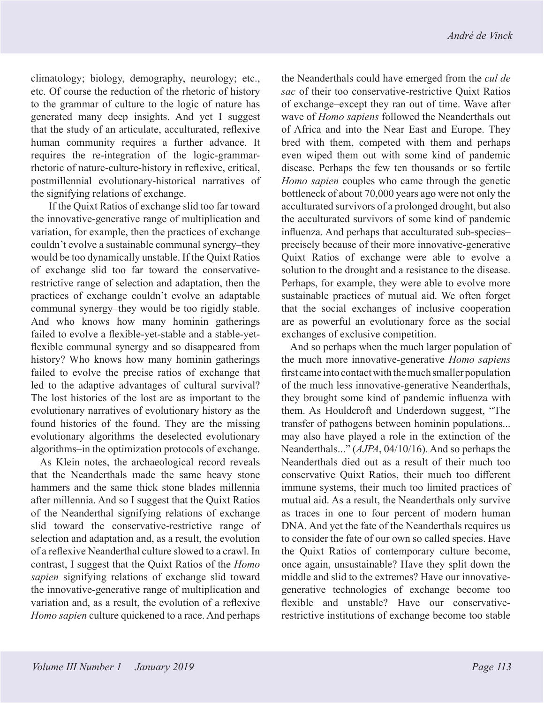climatology; biology, demography, neurology; etc., etc. Of course the reduction of the rhetoric of history to the grammar of culture to the logic of nature has generated many deep insights. And yet I suggest that the study of an articulate, acculturated, reflexive human community requires a further advance. It requires the re-integration of the logic-grammarrhetoric of nature-culture-history in reflexive, critical, postmillennial evolutionary-historical narratives of the signifying relations of exchange.

 If the Quixt Ratios of exchange slid too far toward the innovative-generative range of multiplication and variation, for example, then the practices of exchange couldn't evolve a sustainable communal synergy–they would be too dynamically unstable. If the Quixt Ratios of exchange slid too far toward the conservativerestrictive range of selection and adaptation, then the practices of exchange couldn't evolve an adaptable communal synergy–they would be too rigidly stable. And who knows how many hominin gatherings failed to evolve a flexible-yet-stable and a stable-yetflexible communal synergy and so disappeared from history? Who knows how many hominin gatherings failed to evolve the precise ratios of exchange that led to the adaptive advantages of cultural survival? The lost histories of the lost are as important to the evolutionary narratives of evolutionary history as the found histories of the found. They are the missing evolutionary algorithms–the deselected evolutionary algorithms–in the optimization protocols of exchange.

As Klein notes, the archaeological record reveals that the Neanderthals made the same heavy stone hammers and the same thick stone blades millennia after millennia. And so I suggest that the Quixt Ratios of the Neanderthal signifying relations of exchange slid toward the conservative-restrictive range of selection and adaptation and, as a result, the evolution of a reflexive Neanderthal culture slowed to a crawl. In contrast, I suggest that the Quixt Ratios of the *Homo sapien* signifying relations of exchange slid toward the innovative-generative range of multiplication and variation and, as a result, the evolution of a reflexive *Homo sapien* culture quickened to a race. And perhaps

the Neanderthals could have emerged from the *cul de sac* of their too conservative-restrictive Quixt Ratios of exchange–except they ran out of time. Wave after wave of *Homo sapiens* followed the Neanderthals out of Africa and into the Near East and Europe. They bred with them, competed with them and perhaps even wiped them out with some kind of pandemic disease. Perhaps the few ten thousands or so fertile *Homo sapien* couples who came through the genetic bottleneck of about 70,000 years ago were not only the acculturated survivors of a prolonged drought, but also the acculturated survivors of some kind of pandemic influenza. And perhaps that acculturated sub-species– precisely because of their more innovative-generative Quixt Ratios of exchange–were able to evolve a solution to the drought and a resistance to the disease. Perhaps, for example, they were able to evolve more sustainable practices of mutual aid. We often forget that the social exchanges of inclusive cooperation are as powerful an evolutionary force as the social exchanges of exclusive competition.

And so perhaps when the much larger population of the much more innovative-generative *Homo sapiens* first came into contact with the much smaller population of the much less innovative-generative Neanderthals, they brought some kind of pandemic influenza with them. As Houldcroft and Underdown suggest, "The transfer of pathogens between hominin populations... may also have played a role in the extinction of the Neanderthals..." (*AJPA*, 04/10/16). And so perhaps the Neanderthals died out as a result of their much too conservative Quixt Ratios, their much too different immune systems, their much too limited practices of mutual aid. As a result, the Neanderthals only survive as traces in one to four percent of modern human DNA. And yet the fate of the Neanderthals requires us to consider the fate of our own so called species. Have the Quixt Ratios of contemporary culture become, once again, unsustainable? Have they split down the middle and slid to the extremes? Have our innovativegenerative technologies of exchange become too flexible and unstable? Have our conservativerestrictive institutions of exchange become too stable